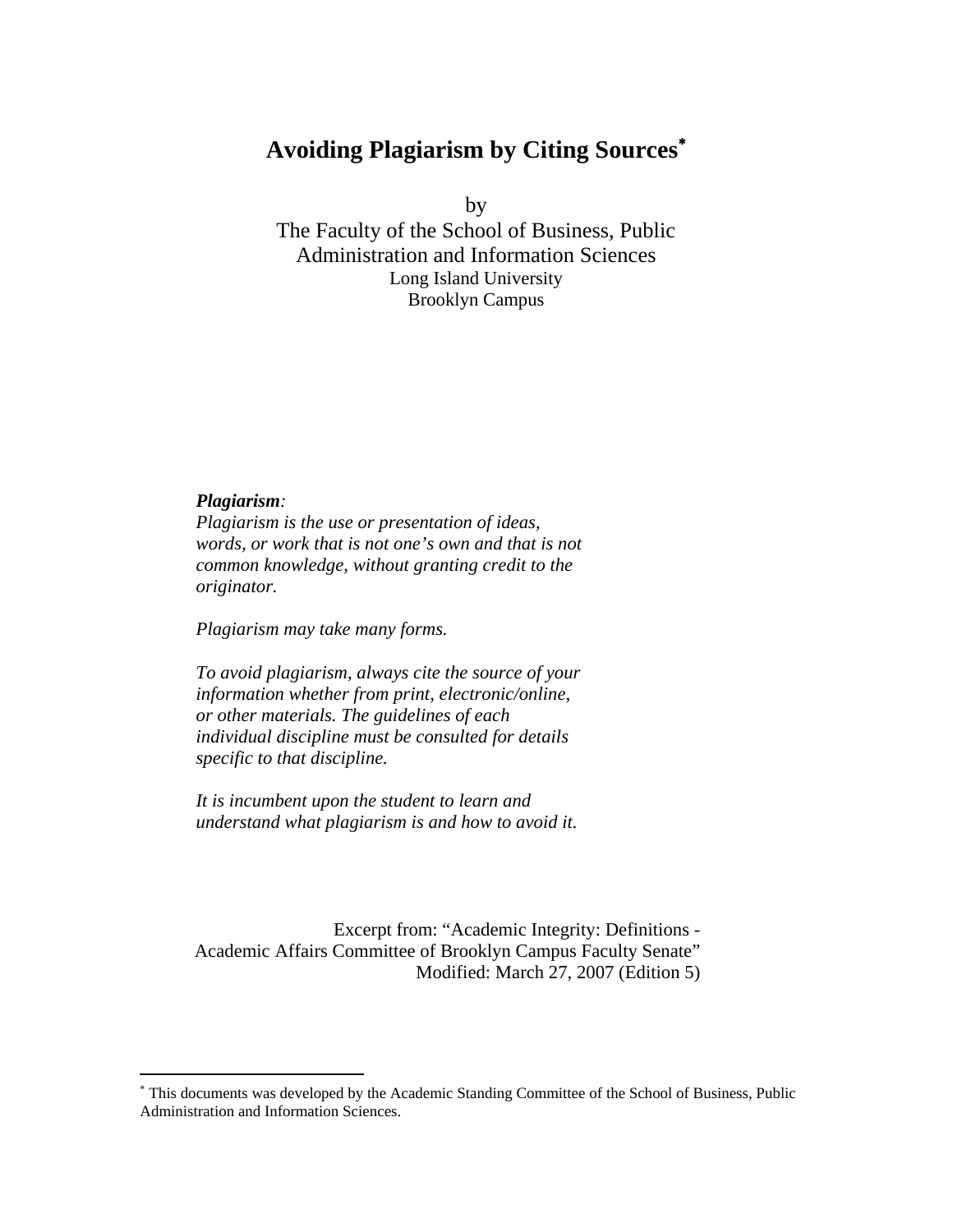# **Avoiding Plagiarism by Citing Sources**<sup>∗</sup>

by

The Faculty of the School of Business, Public Administration and Information Sciences Long Island University Brooklyn Campus

# *Plagiarism:*

 $\overline{a}$ 

*Plagiarism is the use or presentation of ideas, words, or work that is not one's own and that is not common knowledge, without granting credit to the originator.* 

*Plagiarism may take many forms.* 

*To avoid plagiarism, always cite the source of your information whether from print, electronic/online, or other materials. The guidelines of each individual discipline must be consulted for details specific to that discipline.* 

*It is incumbent upon the student to learn and understand what plagiarism is and how to avoid it.* 

Excerpt from: "Academic Integrity: Definitions - Academic Affairs Committee of Brooklyn Campus Faculty Senate" Modified: March 27, 2007 (Edition 5)

<sup>∗</sup> This documents was developed by the Academic Standing Committee of the School of Business, Public Administration and Information Sciences.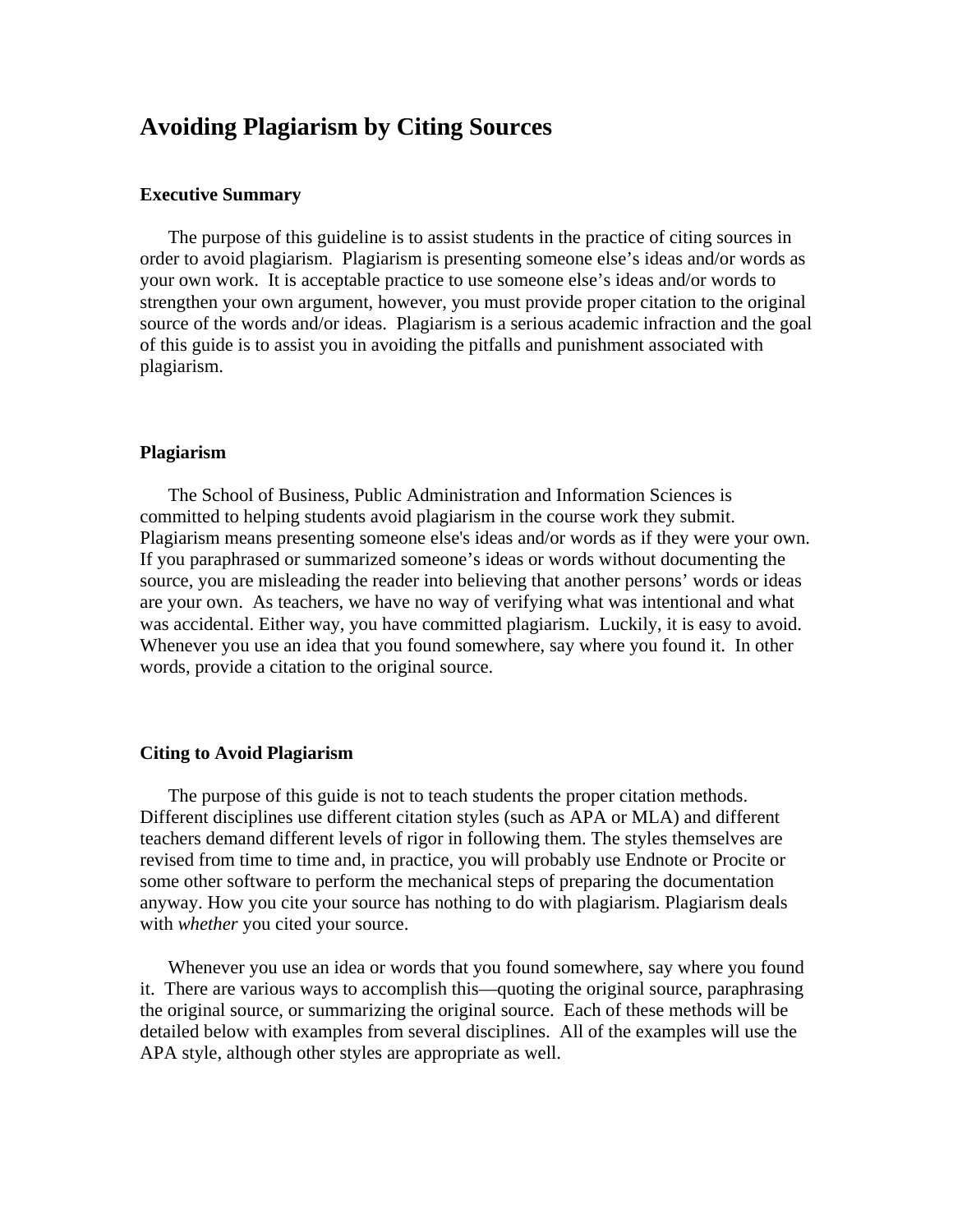# **Avoiding Plagiarism by Citing Sources**

#### **Executive Summary**

The purpose of this guideline is to assist students in the practice of citing sources in order to avoid plagiarism. Plagiarism is presenting someone else's ideas and/or words as your own work. It is acceptable practice to use someone else's ideas and/or words to strengthen your own argument, however, you must provide proper citation to the original source of the words and/or ideas. Plagiarism is a serious academic infraction and the goal of this guide is to assist you in avoiding the pitfalls and punishment associated with plagiarism.

#### **Plagiarism**

The School of Business, Public Administration and Information Sciences is committed to helping students avoid plagiarism in the course work they submit. Plagiarism means presenting someone else's ideas and/or words as if they were your own. If you paraphrased or summarized someone's ideas or words without documenting the source, you are misleading the reader into believing that another persons' words or ideas are your own. As teachers, we have no way of verifying what was intentional and what was accidental. Either way, you have committed plagiarism. Luckily, it is easy to avoid. Whenever you use an idea that you found somewhere, say where you found it. In other words, provide a citation to the original source.

#### **Citing to Avoid Plagiarism**

The purpose of this guide is not to teach students the proper citation methods. Different disciplines use different citation styles (such as APA or MLA) and different teachers demand different levels of rigor in following them. The styles themselves are revised from time to time and, in practice, you will probably use Endnote or Procite or some other software to perform the mechanical steps of preparing the documentation anyway. How you cite your source has nothing to do with plagiarism. Plagiarism deals with *whether* you cited your source.

Whenever you use an idea or words that you found somewhere, say where you found it. There are various ways to accomplish this—quoting the original source, paraphrasing the original source, or summarizing the original source. Each of these methods will be detailed below with examples from several disciplines. All of the examples will use the APA style, although other styles are appropriate as well.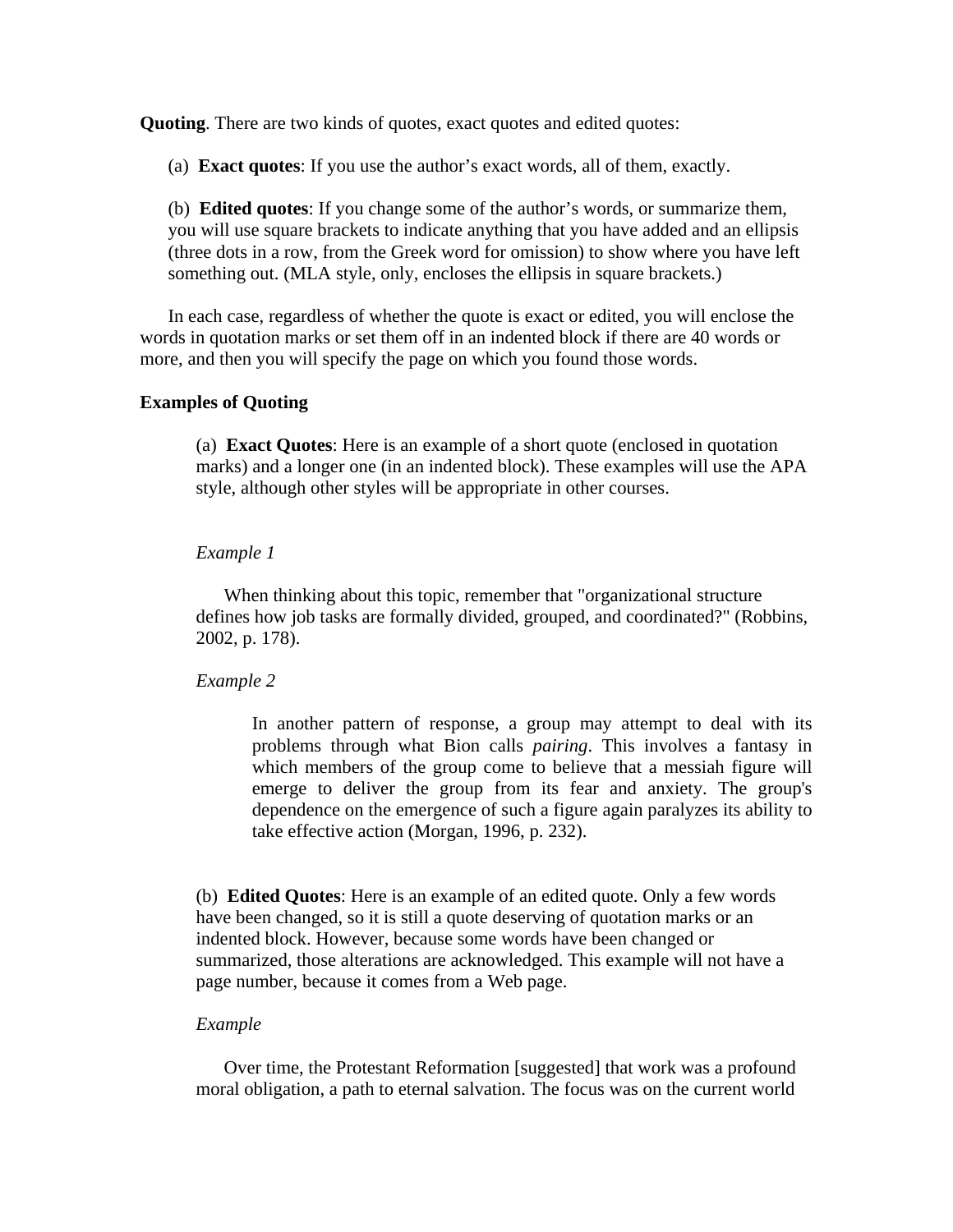**Quoting**. There are two kinds of quotes, exact quotes and edited quotes:

(a) **Exact quotes**: If you use the author's exact words, all of them, exactly.

(b) **Edited quotes**: If you change some of the author's words, or summarize them, you will use square brackets to indicate anything that you have added and an ellipsis (three dots in a row, from the Greek word for omission) to show where you have left something out. (MLA style, only, encloses the ellipsis in square brackets.)

In each case, regardless of whether the quote is exact or edited, you will enclose the words in quotation marks or set them off in an indented block if there are 40 words or more, and then you will specify the page on which you found those words.

# **Examples of Quoting**

(a) **Exact Quotes**: Here is an example of a short quote (enclosed in quotation marks) and a longer one (in an indented block). These examples will use the APA style, although other styles will be appropriate in other courses.

#### *Example 1*

When thinking about this topic, remember that "organizational structure defines how job tasks are formally divided, grouped, and coordinated?" (Robbins, 2002, p. 178).

#### *Example 2*

In another pattern of response, a group may attempt to deal with its problems through what Bion calls *pairing*. This involves a fantasy in which members of the group come to believe that a messiah figure will emerge to deliver the group from its fear and anxiety. The group's dependence on the emergence of such a figure again paralyzes its ability to take effective action (Morgan, 1996, p. 232).

(b) **Edited Quotes**: Here is an example of an edited quote. Only a few words have been changed, so it is still a quote deserving of quotation marks or an indented block. However, because some words have been changed or summarized, those alterations are acknowledged. This example will not have a page number, because it comes from a Web page.

#### *Example*

Over time, the Protestant Reformation [suggested] that work was a profound moral obligation, a path to eternal salvation. The focus was on the current world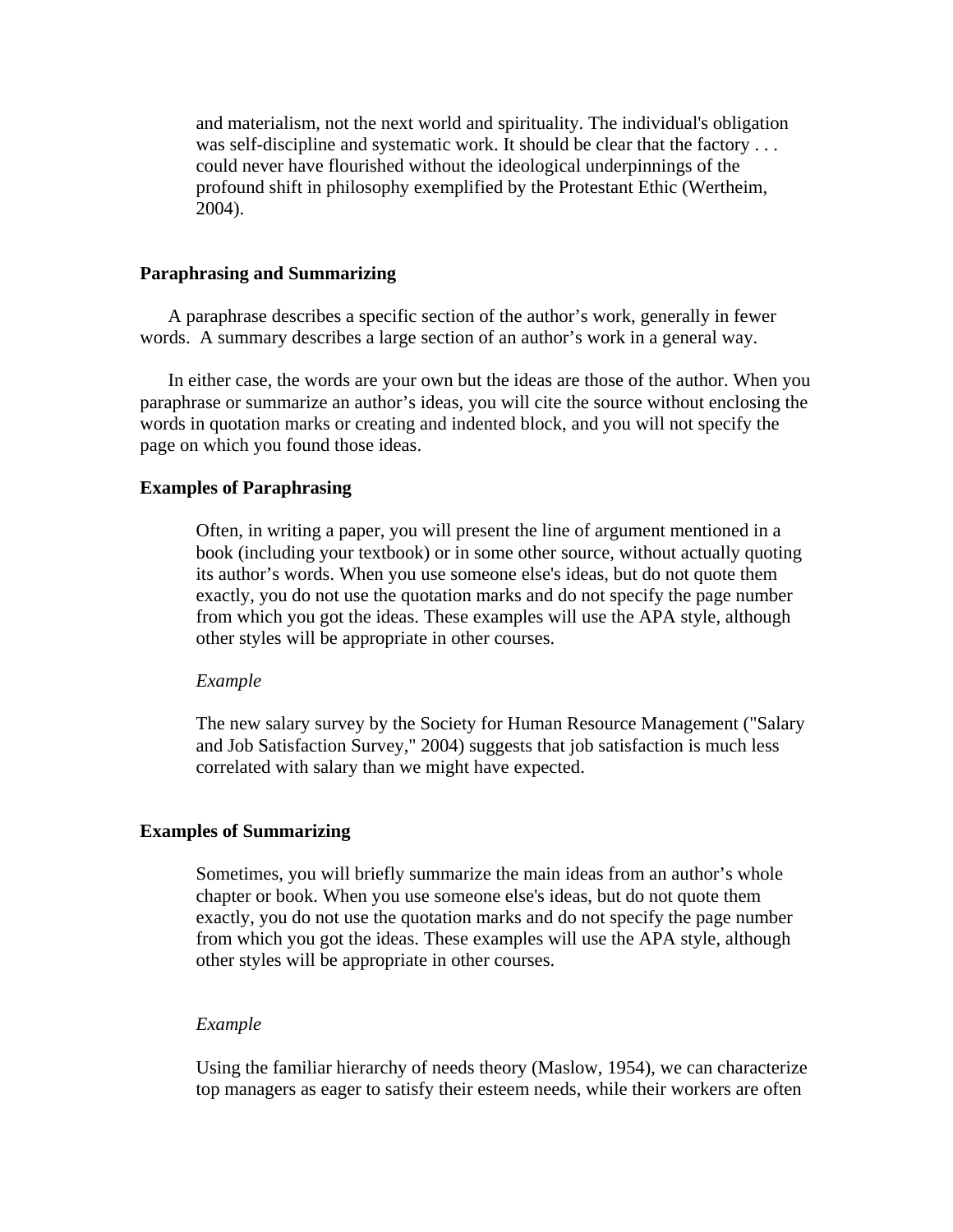and materialism, not the next world and spirituality. The individual's obligation was self-discipline and systematic work. It should be clear that the factory . . . could never have flourished without the ideological underpinnings of the profound shift in philosophy exemplified by the Protestant Ethic (Wertheim, 2004).

# **Paraphrasing and Summarizing**

A paraphrase describes a specific section of the author's work, generally in fewer words. A summary describes a large section of an author's work in a general way.

In either case, the words are your own but the ideas are those of the author. When you paraphrase or summarize an author's ideas, you will cite the source without enclosing the words in quotation marks or creating and indented block, and you will not specify the page on which you found those ideas.

# **Examples of Paraphrasing**

Often, in writing a paper, you will present the line of argument mentioned in a book (including your textbook) or in some other source, without actually quoting its author's words. When you use someone else's ideas, but do not quote them exactly, you do not use the quotation marks and do not specify the page number from which you got the ideas. These examples will use the APA style, although other styles will be appropriate in other courses.

#### *Example*

The new salary survey by the Society for Human Resource Management ("Salary and Job Satisfaction Survey," 2004) suggests that job satisfaction is much less correlated with salary than we might have expected.

# **Examples of Summarizing**

Sometimes, you will briefly summarize the main ideas from an author's whole chapter or book. When you use someone else's ideas, but do not quote them exactly, you do not use the quotation marks and do not specify the page number from which you got the ideas. These examples will use the APA style, although other styles will be appropriate in other courses.

#### *Example*

Using the familiar hierarchy of needs theory (Maslow, 1954), we can characterize top managers as eager to satisfy their esteem needs, while their workers are often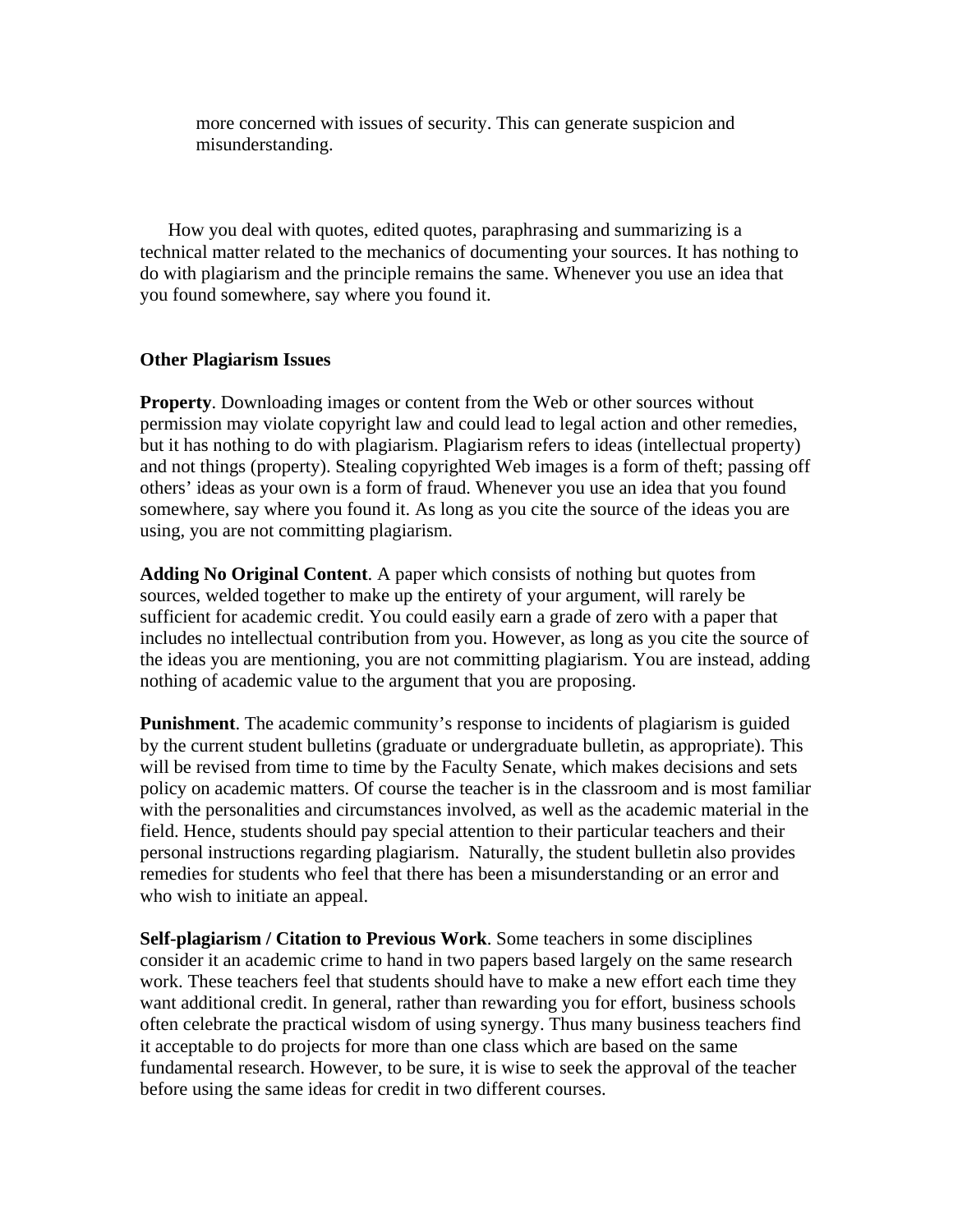more concerned with issues of security. This can generate suspicion and misunderstanding.

How you deal with quotes, edited quotes, paraphrasing and summarizing is a technical matter related to the mechanics of documenting your sources. It has nothing to do with plagiarism and the principle remains the same. Whenever you use an idea that you found somewhere, say where you found it.

# **Other Plagiarism Issues**

**Property**. Downloading images or content from the Web or other sources without permission may violate copyright law and could lead to legal action and other remedies, but it has nothing to do with plagiarism. Plagiarism refers to ideas (intellectual property) and not things (property). Stealing copyrighted Web images is a form of theft; passing off others' ideas as your own is a form of fraud. Whenever you use an idea that you found somewhere, say where you found it. As long as you cite the source of the ideas you are using, you are not committing plagiarism.

**Adding No Original Content**. A paper which consists of nothing but quotes from sources, welded together to make up the entirety of your argument, will rarely be sufficient for academic credit. You could easily earn a grade of zero with a paper that includes no intellectual contribution from you. However, as long as you cite the source of the ideas you are mentioning, you are not committing plagiarism. You are instead, adding nothing of academic value to the argument that you are proposing.

**Punishment**. The academic community's response to incidents of plagiarism is guided by the current student bulletins (graduate or undergraduate bulletin, as appropriate). This will be revised from time to time by the Faculty Senate, which makes decisions and sets policy on academic matters. Of course the teacher is in the classroom and is most familiar with the personalities and circumstances involved, as well as the academic material in the field. Hence, students should pay special attention to their particular teachers and their personal instructions regarding plagiarism. Naturally, the student bulletin also provides remedies for students who feel that there has been a misunderstanding or an error and who wish to initiate an appeal.

**Self-plagiarism / Citation to Previous Work**. Some teachers in some disciplines consider it an academic crime to hand in two papers based largely on the same research work. These teachers feel that students should have to make a new effort each time they want additional credit. In general, rather than rewarding you for effort, business schools often celebrate the practical wisdom of using synergy. Thus many business teachers find it acceptable to do projects for more than one class which are based on the same fundamental research. However, to be sure, it is wise to seek the approval of the teacher before using the same ideas for credit in two different courses.